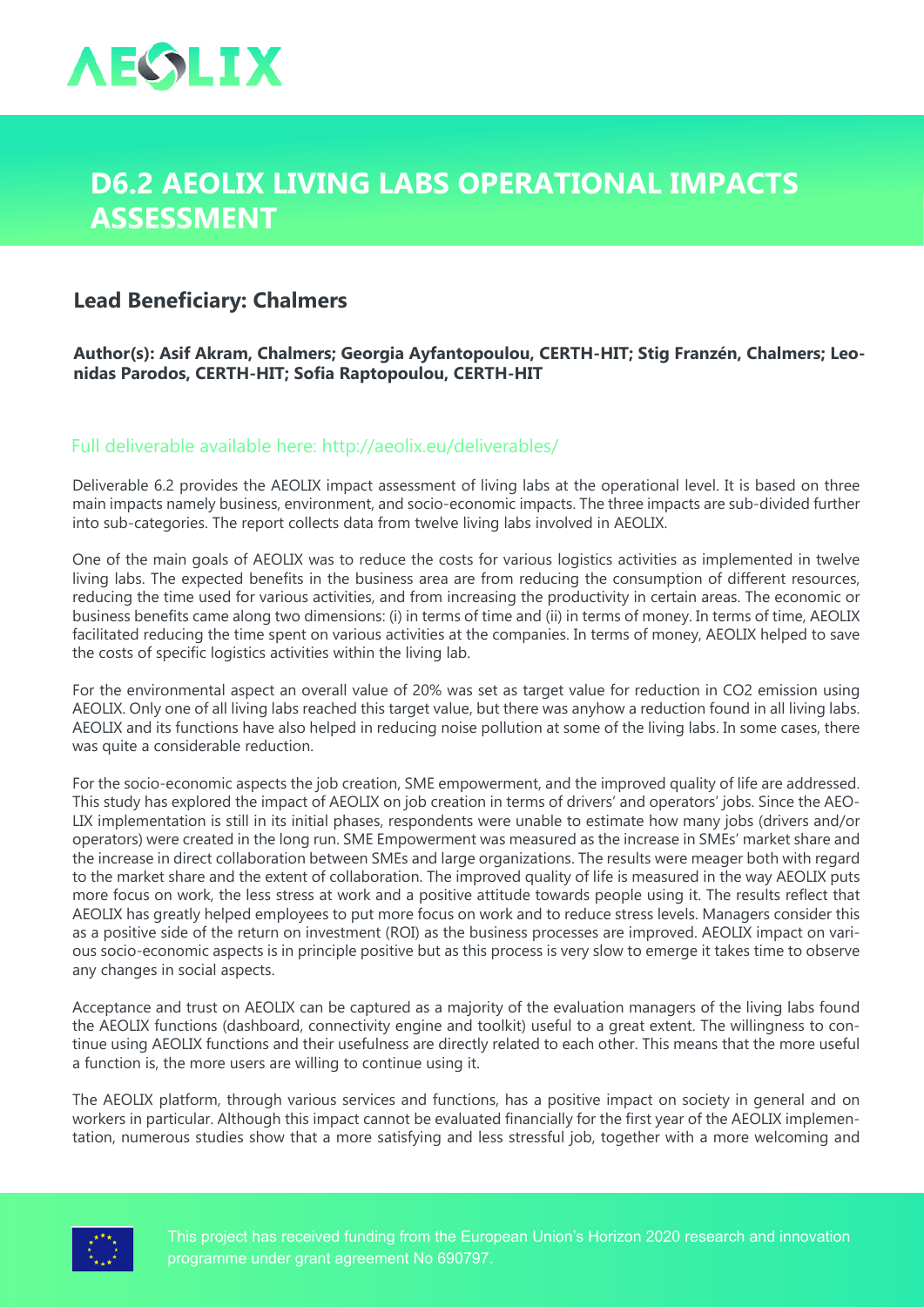

## **D6.2 AEOLIX Living Labs Operational Impacts Assessment**

## **Lead Beneficiary: Chalmers**

**Author(s): Asif Akram, Chalmers; Georgia Ayfantopoulou, CERTH-HIT; Stig Franzén, Chalmers; Leonidas Parodos, CERTH-HIT; Sofia Raptopoulou, CERTH-HIT**

## Full deliverable available here: <http://aeolix.eu/deliverables/>

Deliverable 6.2 provides the AEOLIX impact assessment of living labs at the operational level. It is based on three main impacts namely business, environment, and socio-economic impacts. The three impacts are sub-divided further into sub-categories. The report collects data from twelve living labs involved in AEOLIX.

One of the main goals of AEOLIX was to reduce the costs for various logistics activities as implemented in twelve living labs. The expected benefits in the business area are from reducing the consumption of different resources, reducing the time used for various activities, and from increasing the productivity in certain areas. The economic or business benefits came along two dimensions: (i) in terms of time and (ii) in terms of money. In terms of time, AEOLIX facilitated reducing the time spent on various activities at the companies. In terms of money, AEOLIX helped to save the costs of specific logistics activities within the living lab.

For the environmental aspect an overall value of 20% was set as target value for reduction in CO2 emission using AEOLIX. Only one of all living labs reached this target value, but there was anyhow a reduction found in all living labs. AEOLIX and its functions have also helped in reducing noise pollution at some of the living labs. In some cases, there was quite a considerable reduction.

For the socio-economic aspects the job creation, SME empowerment, and the improved quality of life are addressed. This study has explored the impact of AEOLIX on job creation in terms of drivers' and operators' jobs. Since the AEO-LIX implementation is still in its initial phases, respondents were unable to estimate how many jobs (drivers and/or operators) were created in the long run. SME Empowerment was measured as the increase in SMEs' market share and the increase in direct collaboration between SMEs and large organizations. The results were meager both with regard to the market share and the extent of collaboration. The improved quality of life is measured in the way AEOLIX puts more focus on work, the less stress at work and a positive attitude towards people using it. The results reflect that AEOLIX has greatly helped employees to put more focus on work and to reduce stress levels. Managers consider this as a positive side of the return on investment (ROI) as the business processes are improved. AEOLIX impact on various socio-economic aspects is in principle positive but as this process is very slow to emerge it takes time to observe any changes in social aspects.

Acceptance and trust on AEOLIX can be captured as a majority of the evaluation managers of the living labs found the AEOLIX functions (dashboard, connectivity engine and toolkit) useful to a great extent. The willingness to continue using AEOLIX functions and their usefulness are directly related to each other. This means that the more useful a function is, the more users are willing to continue using it.

The AEOLIX platform, through various services and functions, has a positive impact on society in general and on workers in particular. Although this impact cannot be evaluated financially for the first year of the AEOLIX implementation, numerous studies show that a more satisfying and less stressful job, together with a more welcoming and